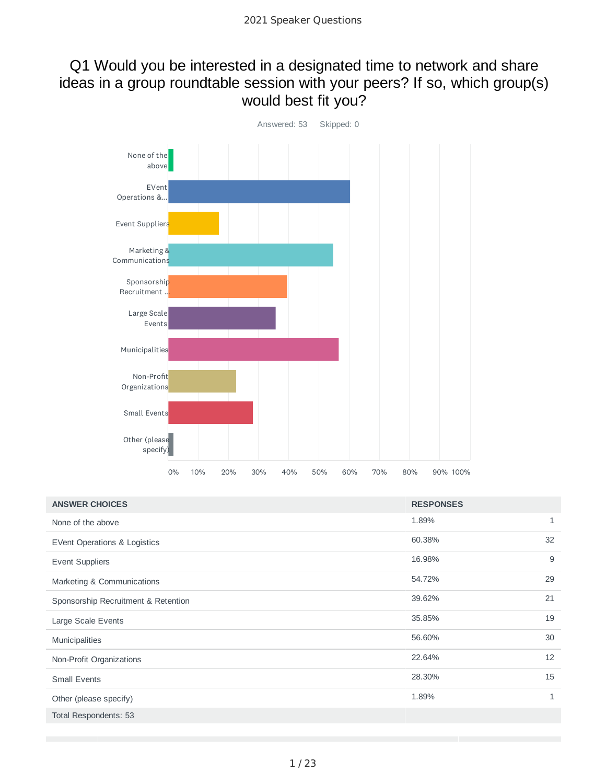### Q1 Would you be interested in a designated time to network and share ideas in a group roundtable session with your peers? If so, which group(s) would best fit you?



| <b>ANSWER CHOICES</b>               | <b>RESPONSES</b> |              |
|-------------------------------------|------------------|--------------|
| None of the above                   | 1.89%            | 1            |
| EVent Operations & Logistics        | 60.38%           | 32           |
| <b>Event Suppliers</b>              | 16.98%           | 9            |
| Marketing & Communications          | 54.72%           | 29           |
| Sponsorship Recruitment & Retention | 39.62%           | 21           |
| Large Scale Events                  | 35.85%           | 19           |
| Municipalities                      | 56.60%           | 30           |
| Non-Profit Organizations            | 22.64%           | 12           |
| <b>Small Events</b>                 | 28.30%           | 15           |
| Other (please specify)              | 1.89%            | $\mathbf{1}$ |
| Total Respondents: 53               |                  |              |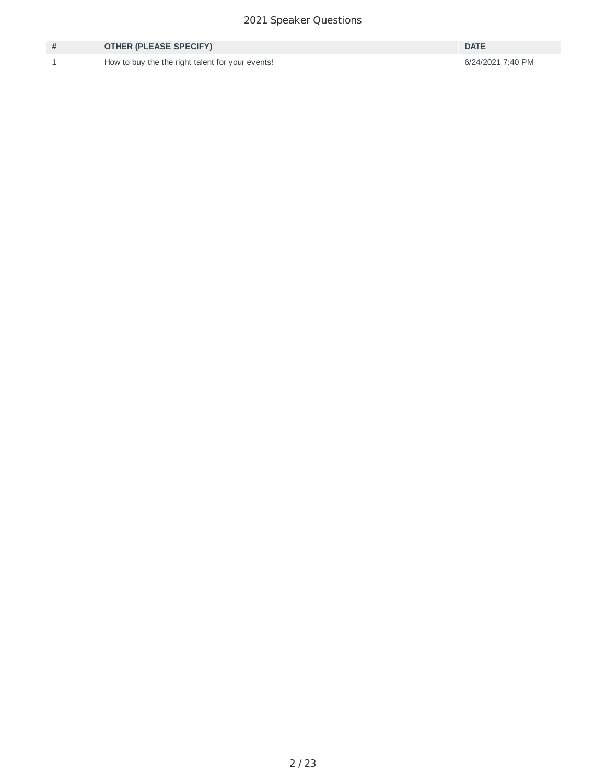#### Speaker Questions

| <b>OTHER (PLEASE SPECIFY)</b>                    | <b>DATE</b>       |
|--------------------------------------------------|-------------------|
| How to buy the the right talent for your events! | 6/24/2021 7:40 PM |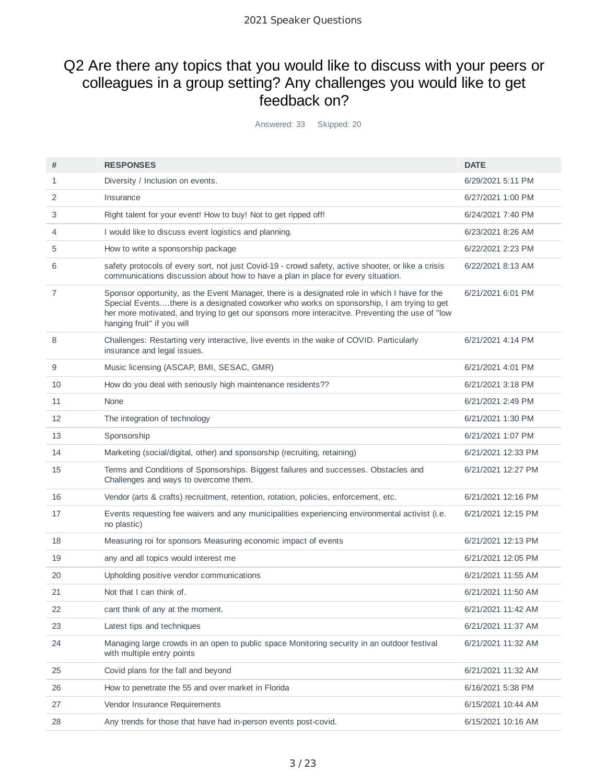### Q2 Are there any topics that you would like to discuss with your peers or colleagues in a group setting? Any challenges you would like to get feedback on?

Answered: 33 Skipped: 20

| #  | <b>RESPONSES</b>                                                                                                                                                                                                                                                                                                            | <b>DATE</b>        |
|----|-----------------------------------------------------------------------------------------------------------------------------------------------------------------------------------------------------------------------------------------------------------------------------------------------------------------------------|--------------------|
| 1  | Diversity / Inclusion on events.                                                                                                                                                                                                                                                                                            | 6/29/2021 5:11 PM  |
| 2  | Insurance                                                                                                                                                                                                                                                                                                                   | 6/27/2021 1:00 PM  |
| 3  | Right talent for your event! How to buy! Not to get ripped off!                                                                                                                                                                                                                                                             | 6/24/2021 7:40 PM  |
| 4  | I would like to discuss event logistics and planning.                                                                                                                                                                                                                                                                       | 6/23/2021 8:26 AM  |
| 5  | How to write a sponsorship package                                                                                                                                                                                                                                                                                          | 6/22/2021 2:23 PM  |
| 6  | safety protocols of every sort, not just Covid-19 - crowd safety, active shooter, or like a crisis<br>communications discussion about how to have a plan in place for every situation.                                                                                                                                      | 6/22/2021 8:13 AM  |
| 7  | Sponsor opportunity, as the Event Manager, there is a designated role in which I have for the<br>Special Eventsthere is a designated coworker who works on sponsorship, I am trying to get<br>her more motivated, and trying to get our sponsors more interacitve. Preventing the use of "low<br>hanging fruit" if you will | 6/21/2021 6:01 PM  |
| 8  | Challenges: Restarting very interactive, live events in the wake of COVID. Particularly<br>insurance and legal issues.                                                                                                                                                                                                      | 6/21/2021 4:14 PM  |
| 9  | Music licensing (ASCAP, BMI, SESAC, GMR)                                                                                                                                                                                                                                                                                    | 6/21/2021 4:01 PM  |
| 10 | How do you deal with seriously high maintenance residents??                                                                                                                                                                                                                                                                 | 6/21/2021 3:18 PM  |
| 11 | <b>None</b>                                                                                                                                                                                                                                                                                                                 | 6/21/2021 2:49 PM  |
| 12 | The integration of technology                                                                                                                                                                                                                                                                                               | 6/21/2021 1:30 PM  |
| 13 | Sponsorship                                                                                                                                                                                                                                                                                                                 | 6/21/2021 1:07 PM  |
| 14 | Marketing (social/digital, other) and sponsorship (recruiting, retaining)                                                                                                                                                                                                                                                   | 6/21/2021 12:33 PM |
| 15 | Terms and Conditions of Sponsorships. Biggest failures and successes. Obstacles and<br>Challenges and ways to overcome them.                                                                                                                                                                                                | 6/21/2021 12:27 PM |
| 16 | Vendor (arts & crafts) recruitment, retention, rotation, policies, enforcement, etc.                                                                                                                                                                                                                                        | 6/21/2021 12:16 PM |
| 17 | Events requesting fee waivers and any municipalities experiencing environmental activist (i.e.<br>no plastic)                                                                                                                                                                                                               | 6/21/2021 12:15 PM |
| 18 | Measuring roi for sponsors Measuring economic impact of events                                                                                                                                                                                                                                                              | 6/21/2021 12:13 PM |
| 19 | any and all topics would interest me                                                                                                                                                                                                                                                                                        | 6/21/2021 12:05 PM |
| 20 | Upholding positive vendor communications                                                                                                                                                                                                                                                                                    | 6/21/2021 11:55 AM |
| 21 | Not that I can think of.                                                                                                                                                                                                                                                                                                    | 6/21/2021 11:50 AM |
| 22 | cant think of any at the moment.                                                                                                                                                                                                                                                                                            | 6/21/2021 11:42 AM |
| 23 | Latest tips and techniques                                                                                                                                                                                                                                                                                                  | 6/21/2021 11:37 AM |
| 24 | Managing large crowds in an open to public space Monitoring security in an outdoor festival<br>with multiple entry points                                                                                                                                                                                                   | 6/21/2021 11:32 AM |
| 25 | Covid plans for the fall and beyond                                                                                                                                                                                                                                                                                         | 6/21/2021 11:32 AM |
| 26 | How to penetrate the 55 and over market in Florida                                                                                                                                                                                                                                                                          | 6/16/2021 5:38 PM  |
| 27 | Vendor Insurance Requirements                                                                                                                                                                                                                                                                                               | 6/15/2021 10:44 AM |
| 28 | Any trends for those that have had in-person events post-covid.                                                                                                                                                                                                                                                             | 6/15/2021 10:16 AM |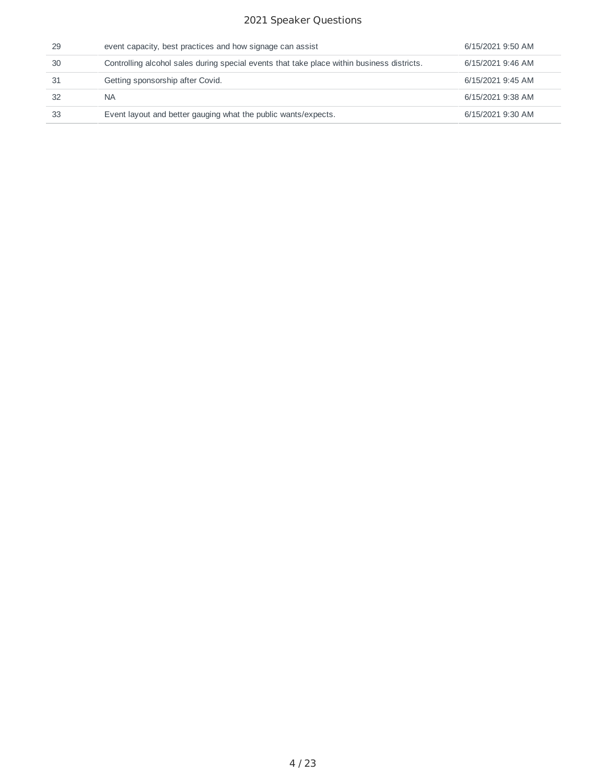#### Speaker Questions

| 29 | event capacity, best practices and how signage can assist                                  | 6/15/2021 9:50 AM |
|----|--------------------------------------------------------------------------------------------|-------------------|
| 30 | Controlling alcohol sales during special events that take place within business districts. | 6/15/2021 9:46 AM |
| 31 | Getting sponsorship after Covid.                                                           | 6/15/2021 9:45 AM |
| 32 | <b>NA</b>                                                                                  | 6/15/2021 9:38 AM |
| 33 | Event layout and better gauging what the public wants/expects.                             | 6/15/2021 9:30 AM |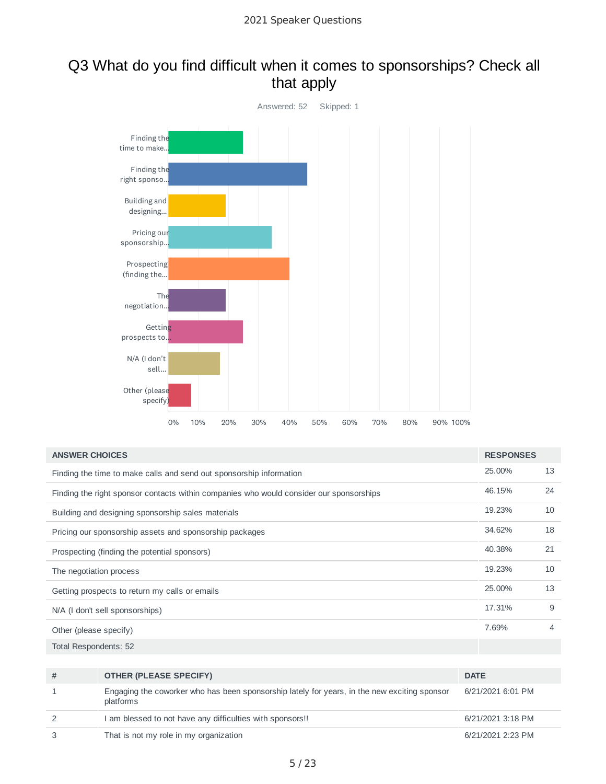## Q3 What do you find difficult when it comes to sponsorships? Check all that apply



| <b>ANSWER CHOICES</b>                                                                   | <b>RESPONSES</b> |    |
|-----------------------------------------------------------------------------------------|------------------|----|
| Finding the time to make calls and send out sponsorship information                     | 25.00%           | 13 |
| Finding the right sponsor contacts within companies who would consider our sponsorships | 46.15%           | 24 |
| Building and designing sponsorship sales materials                                      | 19.23%           | 10 |
| Pricing our sponsorship assets and sponsorship packages                                 | 34.62%           | 18 |
| Prospecting (finding the potential sponsors)                                            | 40.38%           | 21 |
| The negotiation process                                                                 | 19.23%           | 10 |
| Getting prospects to return my calls or emails                                          | 25.00%           | 13 |
| N/A (I don't sell sponsorships)                                                         | 17.31%           | 9  |
| Other (please specify)                                                                  | 7.69%            | 4  |
|                                                                                         |                  |    |

Total Respondents: 52

| # | <b>OTHER (PLEASE SPECIFY)</b>                                                                             | <b>DATE</b>       |
|---|-----------------------------------------------------------------------------------------------------------|-------------------|
|   | Engaging the coworker who has been sponsorship lately for years, in the new exciting sponsor<br>platforms | 6/21/2021 6:01 PM |
|   | I am blessed to not have any difficulties with sponsors!!                                                 | 6/21/2021 3:18 PM |
|   | That is not my role in my organization                                                                    | 6/21/2021 2:23 PM |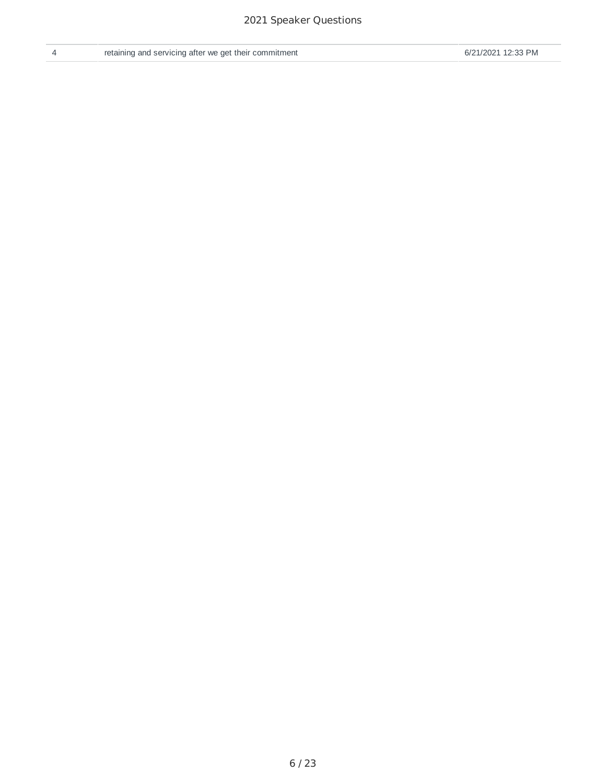| retainin |  |
|----------|--|
|          |  |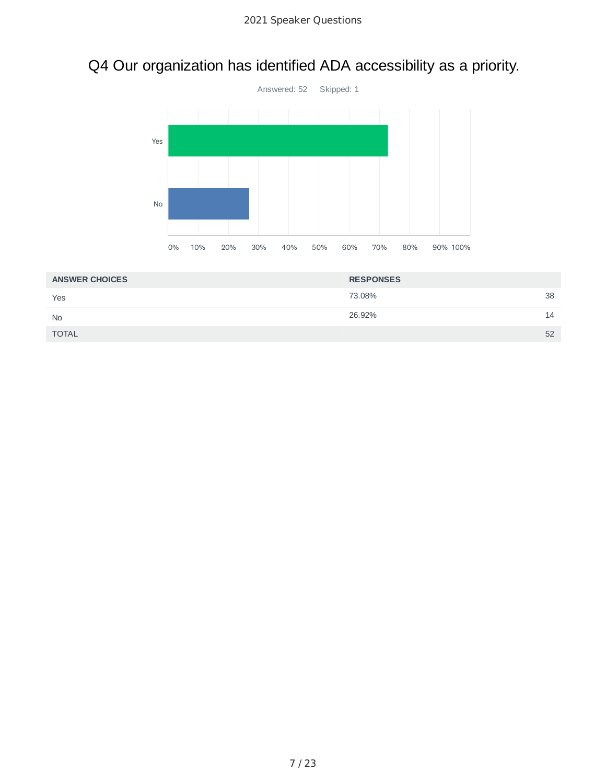# Q4 Our organization has identified ADA accessibility as a priority.



| <b>ANSWER CHOICES</b> | <b>RESPONSES</b> |    |
|-----------------------|------------------|----|
| Yes                   | 73.08%           | 38 |
| <b>No</b>             | 26.92%           | 14 |
| <b>TOTAL</b>          |                  | 52 |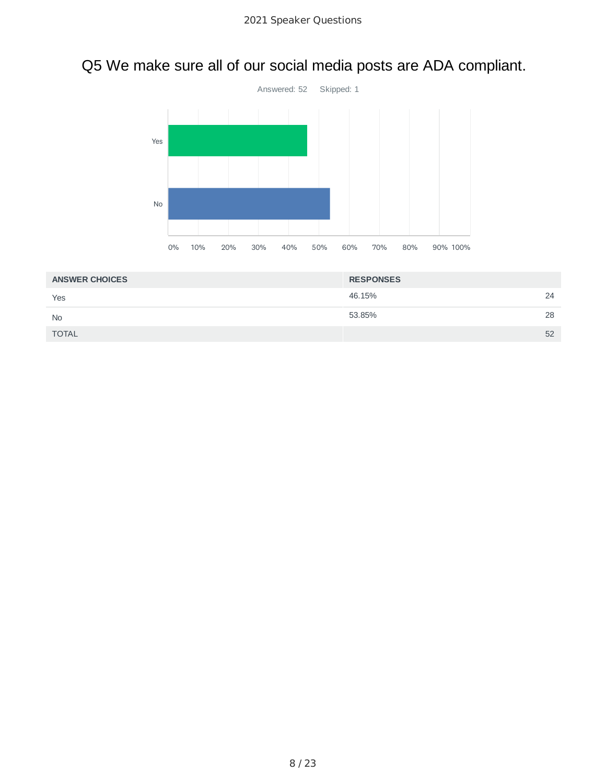# Q5 We make sure all of our social media posts are ADA compliant.



| <b>ANSWER CHOICES</b> | <b>RESPONSES</b> |    |
|-----------------------|------------------|----|
| Yes                   | 46.15%           | 24 |
| <b>No</b>             | 53.85%           | 28 |
| <b>TOTAL</b>          |                  | 52 |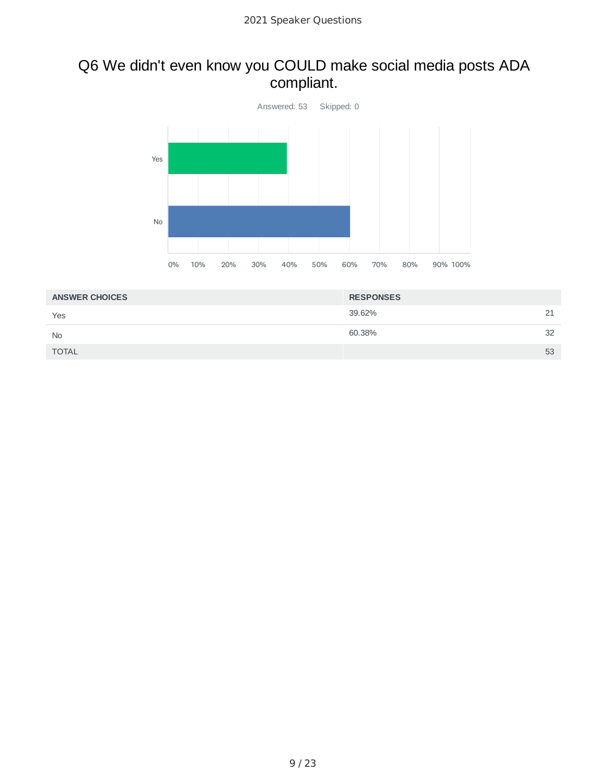# Q6 We didn't even know you COULD make social media posts ADA compliant.



| <b>ANSWER CHOICES</b> | <b>RESPONSES</b> |    |
|-----------------------|------------------|----|
| Yes                   | 39.62%           | 21 |
| <b>No</b>             | 60.38%           | 32 |
| <b>TOTAL</b>          |                  | 53 |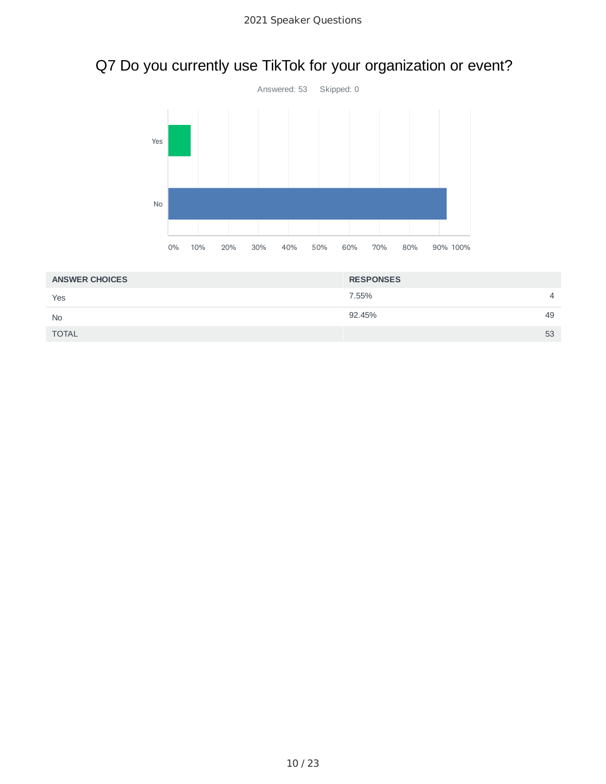# Q7 Do you currently use TikTok for your organization or event?



| <b>ANSWER CHOICES</b> | <b>RESPONSES</b>        |  |
|-----------------------|-------------------------|--|
| Yes                   | 7.55%<br>$\overline{4}$ |  |
| <b>No</b>             | 92.45%<br>49            |  |
| <b>TOTAL</b>          | 53                      |  |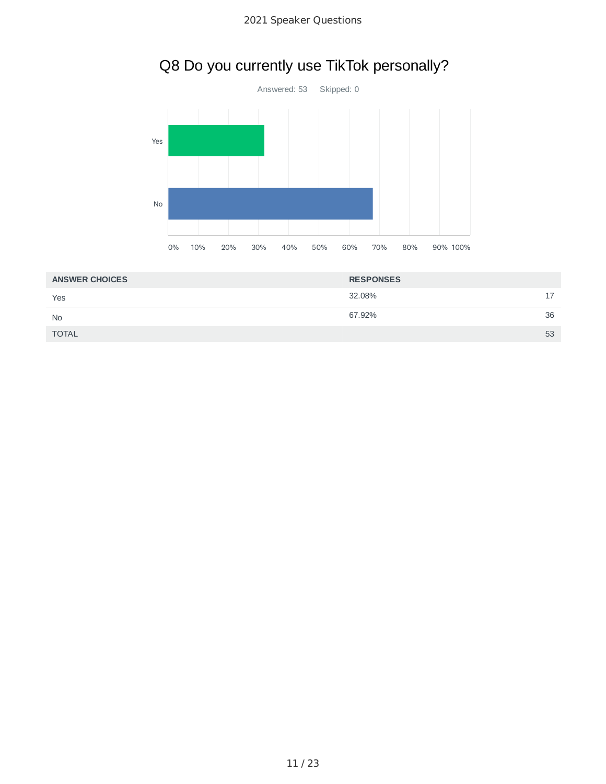# Q8 Do you currently use TikTok personally?



| <b>ANSWER CHOICES</b> | <b>RESPONSES</b> |           |
|-----------------------|------------------|-----------|
| Yes                   | 32.08%           | 17<br>. . |
| <b>No</b>             | 67.92%           | 36        |
| <b>TOTAL</b>          |                  | 53        |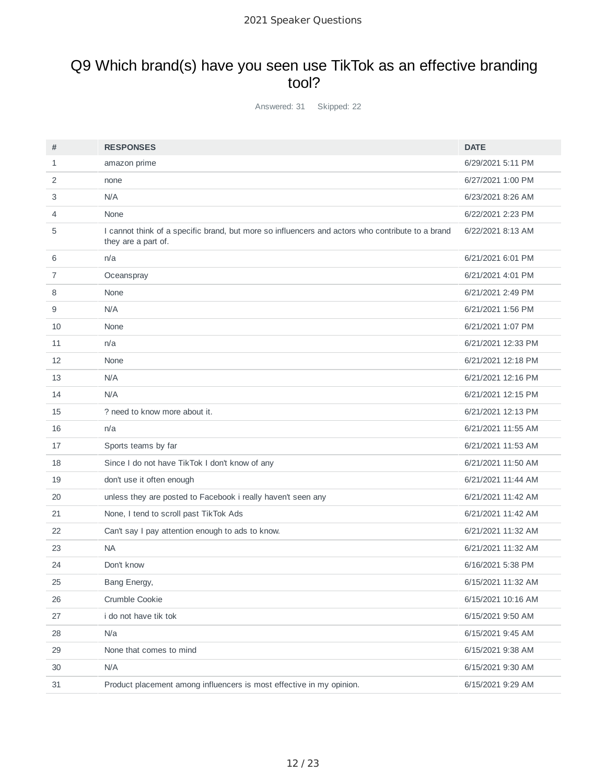## Q9 Which brand(s) have you seen use TikTok as an effective branding tool?

Answered: 31 Skipped: 22

| #  | <b>RESPONSES</b>                                                                                                        | <b>DATE</b>        |
|----|-------------------------------------------------------------------------------------------------------------------------|--------------------|
| 1  | amazon prime                                                                                                            | 6/29/2021 5:11 PM  |
| 2  | none                                                                                                                    | 6/27/2021 1:00 PM  |
| 3  | N/A                                                                                                                     | 6/23/2021 8:26 AM  |
| 4  | None                                                                                                                    | 6/22/2021 2:23 PM  |
| 5  | I cannot think of a specific brand, but more so influencers and actors who contribute to a brand<br>they are a part of. | 6/22/2021 8:13 AM  |
| 6  | n/a                                                                                                                     | 6/21/2021 6:01 PM  |
| 7  | Oceanspray                                                                                                              | 6/21/2021 4:01 PM  |
| 8  | None                                                                                                                    | 6/21/2021 2:49 PM  |
| 9  | N/A                                                                                                                     | 6/21/2021 1:56 PM  |
| 10 | None                                                                                                                    | 6/21/2021 1:07 PM  |
| 11 | n/a                                                                                                                     | 6/21/2021 12:33 PM |
| 12 | None                                                                                                                    | 6/21/2021 12:18 PM |
| 13 | N/A                                                                                                                     | 6/21/2021 12:16 PM |
| 14 | N/A                                                                                                                     | 6/21/2021 12:15 PM |
| 15 | ? need to know more about it.                                                                                           | 6/21/2021 12:13 PM |
| 16 | n/a                                                                                                                     | 6/21/2021 11:55 AM |
| 17 | Sports teams by far                                                                                                     | 6/21/2021 11:53 AM |
| 18 | Since I do not have TikTok I don't know of any                                                                          | 6/21/2021 11:50 AM |
| 19 | don't use it often enough                                                                                               | 6/21/2021 11:44 AM |
| 20 | unless they are posted to Facebook i really haven't seen any                                                            | 6/21/2021 11:42 AM |
| 21 | None, I tend to scroll past TikTok Ads                                                                                  | 6/21/2021 11:42 AM |
| 22 | Can't say I pay attention enough to ads to know.                                                                        | 6/21/2021 11:32 AM |
| 23 | <b>NA</b>                                                                                                               | 6/21/2021 11:32 AM |
| 24 | Don't know                                                                                                              | 6/16/2021 5:38 PM  |
| 25 | Bang Energy,                                                                                                            | 6/15/2021 11:32 AM |
| 26 | Crumble Cookie                                                                                                          | 6/15/2021 10:16 AM |
| 27 | i do not have tik tok                                                                                                   | 6/15/2021 9:50 AM  |
| 28 | N/a                                                                                                                     | 6/15/2021 9:45 AM  |
| 29 | None that comes to mind                                                                                                 | 6/15/2021 9:38 AM  |
| 30 | N/A                                                                                                                     | 6/15/2021 9:30 AM  |
| 31 | Product placement among influencers is most effective in my opinion.                                                    | 6/15/2021 9:29 AM  |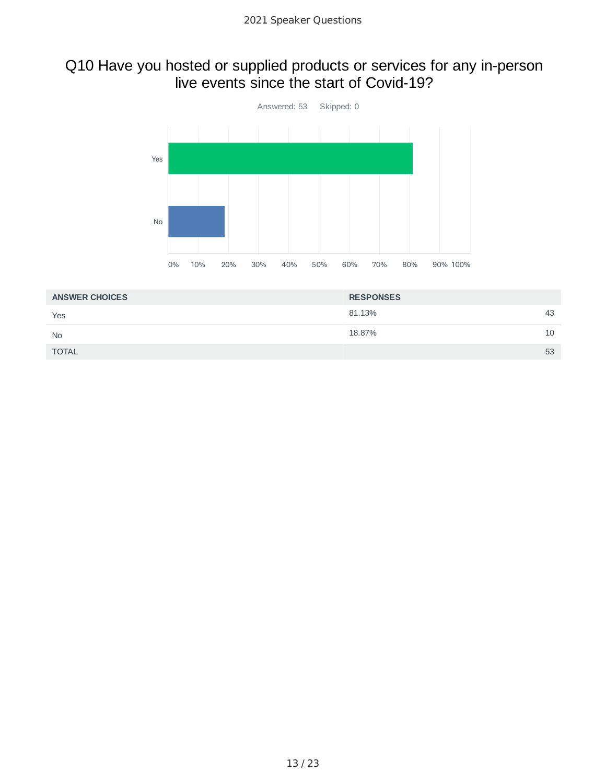#### Q10 Have you hosted or supplied products or services for any in-person live events since the start of Covid-19?



| <b>ANSWER CHOICES</b> | <b>RESPONSES</b> |    |
|-----------------------|------------------|----|
| Yes                   | 81.13%           | 43 |
| <b>No</b>             | 18.87%           | 10 |
| <b>TOTAL</b>          |                  | 53 |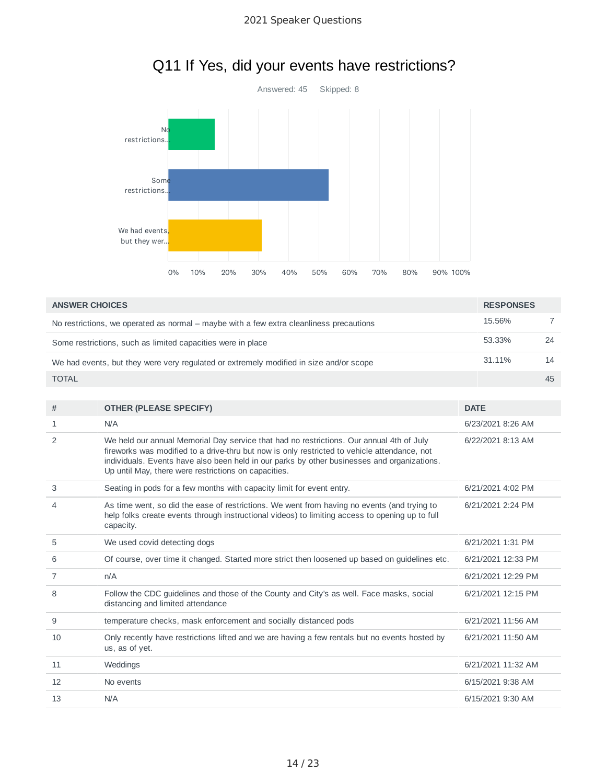

# Q11 If Yes, did your events have restrictions?

| <b>ANSWER CHOICES</b>                                                                   | <b>RESPONSES</b> |    |
|-----------------------------------------------------------------------------------------|------------------|----|
| No restrictions, we operated as normal – maybe with a few extra cleanliness precautions | 15.56%           |    |
| Some restrictions, such as limited capacities were in place                             | 53.33%           | 24 |
| We had events, but they were very regulated or extremely modified in size and/or scope  | 31.11%           | 14 |
| <b>TOTAL</b>                                                                            |                  | 45 |
|                                                                                         |                  |    |

| #  | <b>OTHER (PLEASE SPECIFY)</b>                                                                                                                                                                                                                                                                                                                   | <b>DATE</b>        |
|----|-------------------------------------------------------------------------------------------------------------------------------------------------------------------------------------------------------------------------------------------------------------------------------------------------------------------------------------------------|--------------------|
| 1  | N/A                                                                                                                                                                                                                                                                                                                                             | 6/23/2021 8:26 AM  |
| 2  | We held our annual Memorial Day service that had no restrictions. Our annual 4th of July<br>fireworks was modified to a drive-thru but now is only restricted to vehicle attendance, not<br>individuals. Events have also been held in our parks by other businesses and organizations.<br>Up until May, there were restrictions on capacities. | 6/22/2021 8:13 AM  |
| 3  | Seating in pods for a few months with capacity limit for event entry.                                                                                                                                                                                                                                                                           | 6/21/2021 4:02 PM  |
| 4  | As time went, so did the ease of restrictions. We went from having no events (and trying to<br>help folks create events through instructional videos) to limiting access to opening up to full<br>capacity.                                                                                                                                     | 6/21/2021 2:24 PM  |
| 5  | We used covid detecting dogs                                                                                                                                                                                                                                                                                                                    | 6/21/2021 1:31 PM  |
| 6  | Of course, over time it changed. Started more strict then loosened up based on guidelines etc.                                                                                                                                                                                                                                                  | 6/21/2021 12:33 PM |
| 7  | n/A                                                                                                                                                                                                                                                                                                                                             | 6/21/2021 12:29 PM |
| 8  | Follow the CDC guidelines and those of the County and City's as well. Face masks, social<br>distancing and limited attendance                                                                                                                                                                                                                   | 6/21/2021 12:15 PM |
| 9  | temperature checks, mask enforcement and socially distanced pods                                                                                                                                                                                                                                                                                | 6/21/2021 11:56 AM |
| 10 | Only recently have restrictions lifted and we are having a few rentals but no events hosted by<br>us, as of yet.                                                                                                                                                                                                                                | 6/21/2021 11:50 AM |
| 11 | Weddings                                                                                                                                                                                                                                                                                                                                        | 6/21/2021 11:32 AM |
| 12 | No events                                                                                                                                                                                                                                                                                                                                       | 6/15/2021 9:38 AM  |
| 13 | N/A                                                                                                                                                                                                                                                                                                                                             | 6/15/2021 9:30 AM  |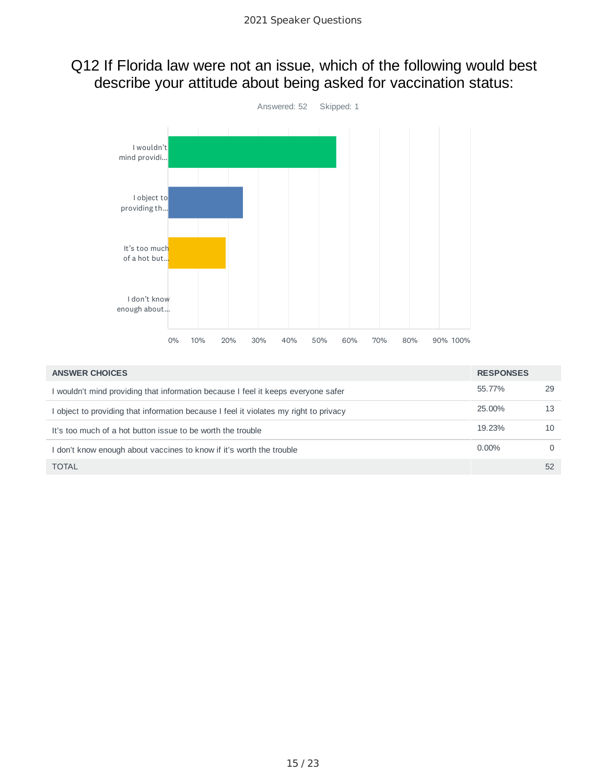### Q12 If Florida law were not an issue, which of the following would best describe your attitude about being asked for vaccination status:



| <b>ANSWER CHOICES</b>                                                                 | <b>RESPONSES</b> |          |
|---------------------------------------------------------------------------------------|------------------|----------|
| I wouldn't mind providing that information because I feel it keeps everyone safer     | 55.77%           | 29       |
| I object to providing that information because I feel it violates my right to privacy | 25.00%           | 13       |
| It's too much of a hot button issue to be worth the trouble                           | 19.23%           | 10       |
| I don't know enough about vaccines to know if it's worth the trouble                  | $0.00\%$         | $\Omega$ |
| <b>TOTAL</b>                                                                          |                  | 52       |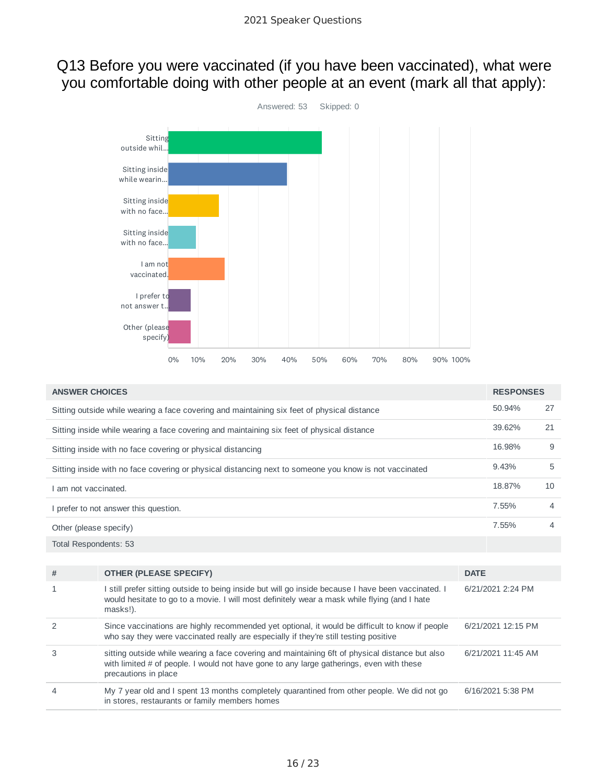### Q13 Before you were vaccinated (if you have been vaccinated), what were you comfortable doing with other people at an event (mark all that apply):



| <b>ANSWER CHOICES</b>                                                                       |                                                                                                                                                                                                                     |             |                    | <b>RESPONSES</b> |
|---------------------------------------------------------------------------------------------|---------------------------------------------------------------------------------------------------------------------------------------------------------------------------------------------------------------------|-------------|--------------------|------------------|
| Sitting outside while wearing a face covering and maintaining six feet of physical distance |                                                                                                                                                                                                                     |             |                    | 27               |
|                                                                                             | Sitting inside while wearing a face covering and maintaining six feet of physical distance                                                                                                                          |             | 39.62%             | 21               |
|                                                                                             | Sitting inside with no face covering or physical distancing                                                                                                                                                         |             | 16.98%             | 9                |
|                                                                                             | Sitting inside with no face covering or physical distancing next to someone you know is not vaccinated                                                                                                              |             | 9.43%              | 5                |
| I am not vaccinated.                                                                        |                                                                                                                                                                                                                     |             | 18.87%             | 10               |
|                                                                                             | I prefer to not answer this question.                                                                                                                                                                               |             | 7.55%              | 4                |
| Other (please specify)                                                                      |                                                                                                                                                                                                                     |             |                    | 4                |
| Total Respondents: 53                                                                       |                                                                                                                                                                                                                     |             |                    |                  |
|                                                                                             |                                                                                                                                                                                                                     |             |                    |                  |
| #                                                                                           | <b>OTHER (PLEASE SPECIFY)</b>                                                                                                                                                                                       | <b>DATE</b> |                    |                  |
| 1                                                                                           | I still prefer sitting outside to being inside but will go inside because I have been vaccinated. I<br>would hesitate to go to a movie. I will most definitely wear a mask while flying (and I hate<br>masks!).     |             | 6/21/2021 2:24 PM  |                  |
| 2                                                                                           | Since vaccinations are highly recommended yet optional, it would be difficult to know if people<br>who say they were vaccinated really are especially if they're still testing positive                             |             | 6/21/2021 12:15 PM |                  |
| 3                                                                                           | sitting outside while wearing a face covering and maintaining 6ft of physical distance but also<br>with limited # of people. I would not have gone to any large gatherings, even with these<br>precautions in place |             | 6/21/2021 11:45 AM |                  |
| $\overline{4}$                                                                              | My 7 year old and I spent 13 months completely quarantined from other people. We did not go<br>in stores, restaurants or family members homes                                                                       |             | 6/16/2021 5:38 PM  |                  |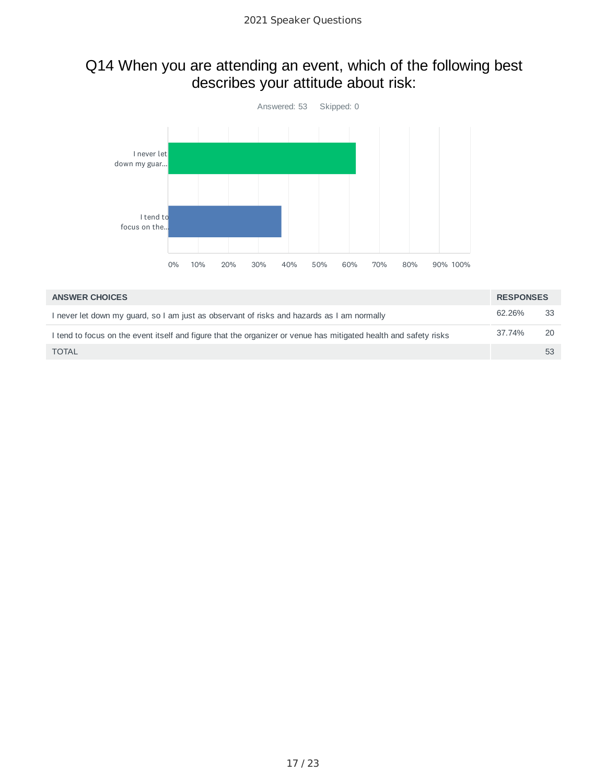### Q14 When you are attending an event, which of the following best describes your attitude about risk:



| <b>ANSWER CHOICES</b>                                                                                            | <b>RESPONSES</b> |    |
|------------------------------------------------------------------------------------------------------------------|------------------|----|
| I never let down my guard, so I am just as observant of risks and hazards as I am normally                       | 62.26%           | 33 |
| I tend to focus on the event itself and figure that the organizer or venue has mitigated health and safety risks | 37.74%           | 20 |
| <b>TOTAL</b>                                                                                                     |                  | 53 |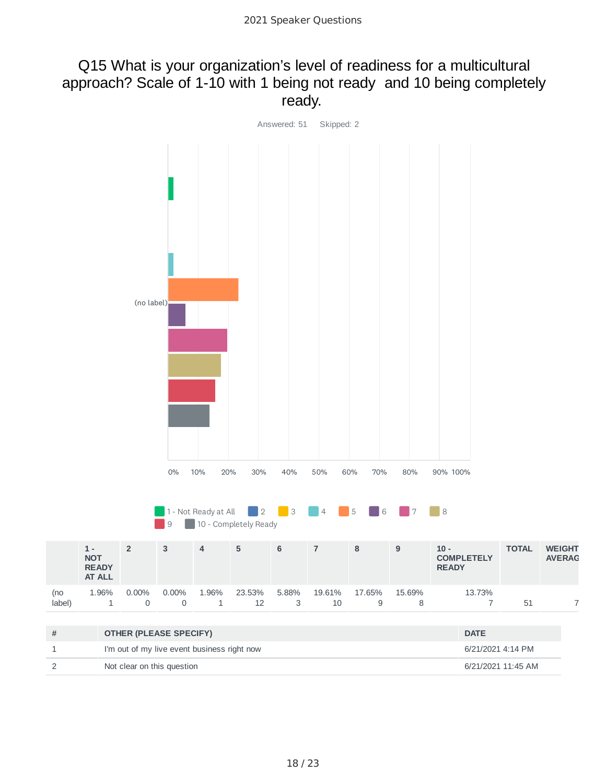#### Q15 What is your organization's level of readiness for a multicultural approach? Scale of 1-10 with 1 being not ready and 10 being completely ready.

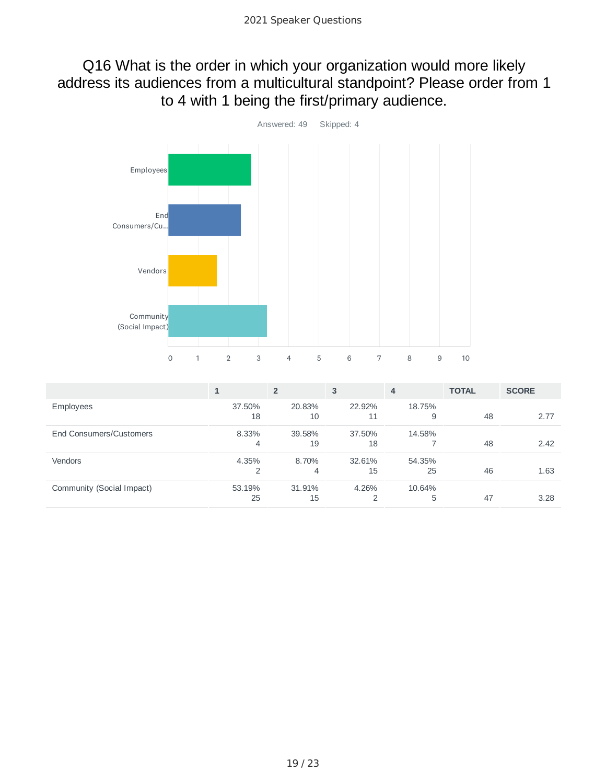### Q16 What is the order in which your organization would more likely address its audiences from a multicultural standpoint? Please order from 1 to 4 with 1 being the first/primary audience.



|                           |        | $\overline{2}$ | 3      | 4      | <b>TOTAL</b> | <b>SCORE</b> |
|---------------------------|--------|----------------|--------|--------|--------------|--------------|
| <b>Employees</b>          | 37.50% | 20.83%         | 22.92% | 18.75% |              |              |
|                           | 18     | 10             | 11     | 9      | 48           | 2.77         |
| End Consumers/Customers   | 8.33%  | 39.58%         | 37.50% | 14.58% |              |              |
|                           | 4      | 19             | 18     |        | 48           | 2.42         |
| <b>Vendors</b>            | 4.35%  | 8.70%          | 32.61% | 54.35% |              |              |
|                           | 2      | 4              | 15     | 25     | 46           | 1.63         |
| Community (Social Impact) | 53.19% | 31.91%         | 4.26%  | 10.64% |              |              |
|                           | 25     | 15             |        | 5      | 47           | 3.28         |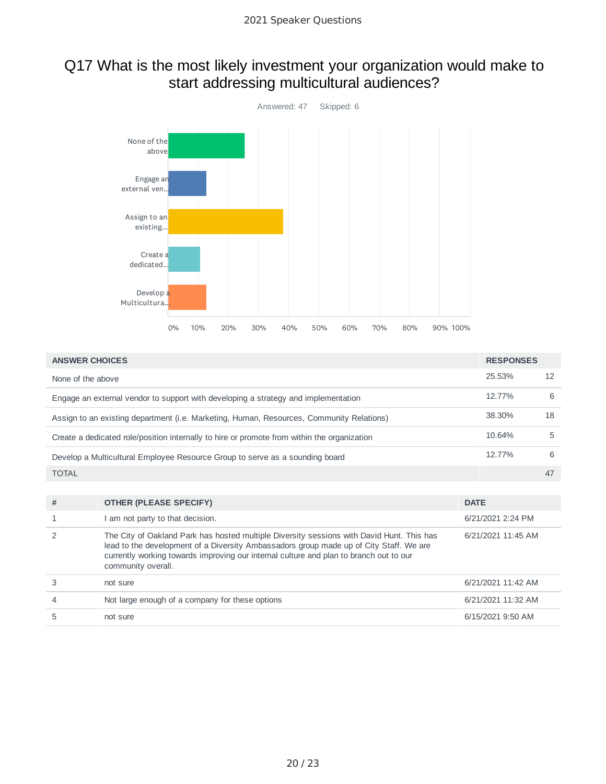## Q17 What is the most likely investment your organization would make to start addressing multicultural audiences?



| <b>ANSWER CHOICES</b>                                                                       | <b>RESPONSES</b> |    |
|---------------------------------------------------------------------------------------------|------------------|----|
| None of the above                                                                           | 25.53%           | 12 |
| Engage an external vendor to support with developing a strategy and implementation          | 12.77%           | 6  |
| Assign to an existing department (i.e. Marketing, Human, Resources, Community Relations)    | 38.30%           | 18 |
| Create a dedicated role/position internally to hire or promote from within the organization | 10.64%           | 5  |
| Develop a Multicultural Employee Resource Group to serve as a sounding board                | 12.77%           | 6  |
| <b>TOTAL</b>                                                                                |                  | 47 |
|                                                                                             |                  |    |

| # | <b>OTHER (PLEASE SPECIFY)</b>                                                                                                                                                                                                                                                                       | <b>DATE</b>        |
|---|-----------------------------------------------------------------------------------------------------------------------------------------------------------------------------------------------------------------------------------------------------------------------------------------------------|--------------------|
|   | am not party to that decision.                                                                                                                                                                                                                                                                      | 6/21/2021 2:24 PM  |
|   | The City of Oakland Park has hosted multiple Diversity sessions with David Hunt. This has<br>lead to the development of a Diversity Ambassadors group made up of City Staff. We are<br>currently working towards improving our internal culture and plan to branch out to our<br>community overall. | 6/21/2021 11:45 AM |
|   | not sure                                                                                                                                                                                                                                                                                            | 6/21/2021 11:42 AM |
|   | Not large enough of a company for these options                                                                                                                                                                                                                                                     | 6/21/2021 11:32 AM |
|   | not sure                                                                                                                                                                                                                                                                                            | 6/15/2021 9:50 AM  |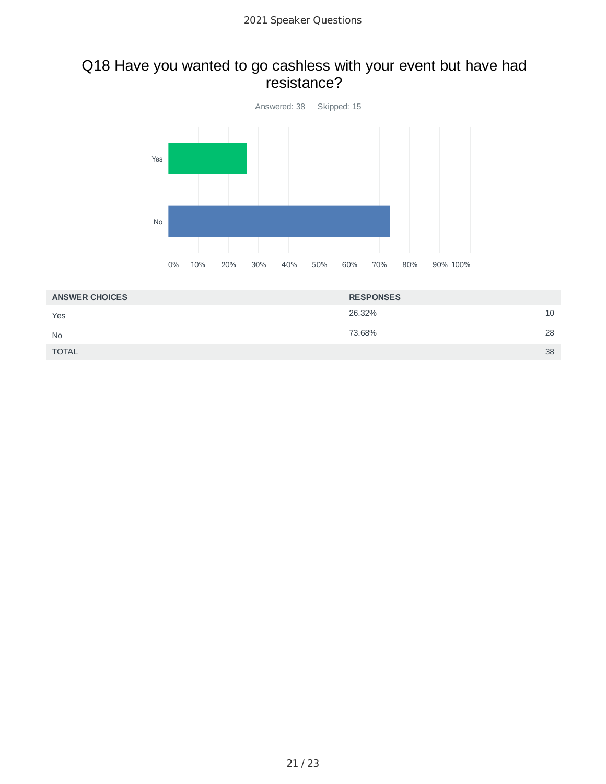### Q18 Have you wanted to go cashless with your event but have had resistance?



| <b>ANSWER CHOICES</b> | <b>RESPONSES</b> |    |
|-----------------------|------------------|----|
| Yes                   | 26.32%           | 10 |
| <b>No</b>             | 73.68%           | 28 |
| <b>TOTAL</b>          |                  | 38 |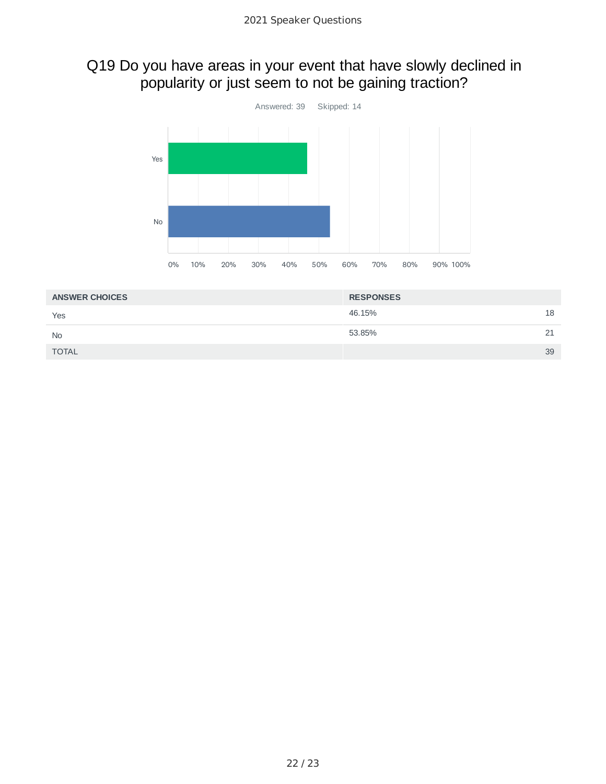## Q19 Do you have areas in your event that have slowly declined in popularity or just seem to not be gaining traction?



| <b>ANSWER CHOICES</b> | <b>RESPONSES</b> |    |
|-----------------------|------------------|----|
| Yes                   | 46.15%           | 18 |
| <b>No</b>             | 53.85%           | 21 |
| <b>TOTAL</b>          |                  | 39 |